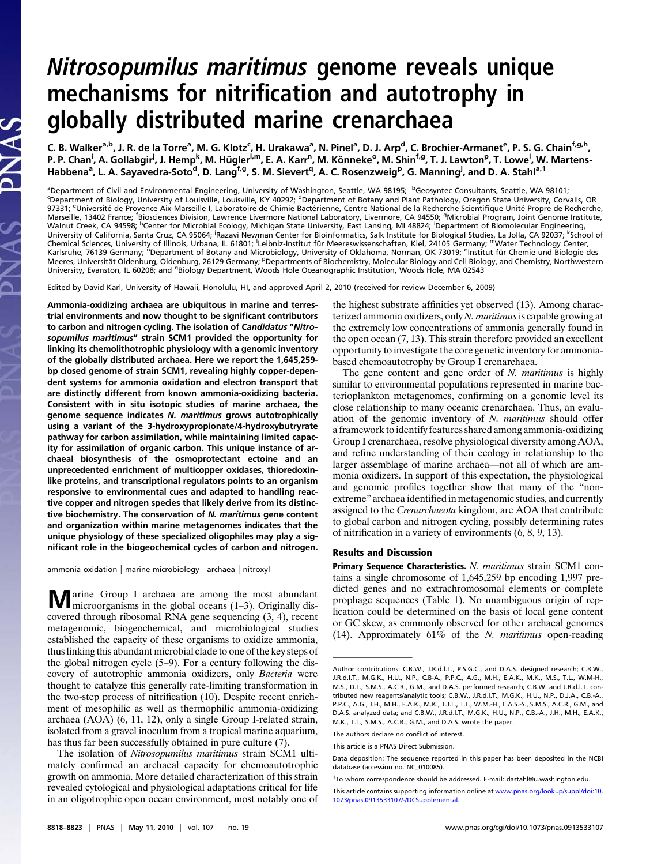## Nitrosopumilus maritimus genome reveals unique mechanisms for nitrification and autotrophy in globally distributed marine crenarchaea

C. B. Walker<sup>a,b</sup>, J. R. de la Torre<sup>a</sup>, M. G. Klotz<sup>c</sup>, H. Urakawa<sup>a</sup>, N. Pinel<sup>a</sup>, D. J. Arp<sup>d</sup>, C. Brochier-Armanet<sup>e</sup>, P. S. G. Chain<sup>f,g,h</sup>, P. P. Chan<sup>i</sup>, A. Gollabgir<sup>i</sup>, J. Hemp<sup>k</sup>, M. Hügler<sup>l,m</sup>, E. A. Karr<sup>n</sup>, M. Könneke<sup>o</sup>, M. Shin<sup>f,g</sup>, T. J. Lawton<sup>p</sup>, T. Lowe<sup>i</sup>, W. Martens-Habbena<sup>a</sup>, L. A. Sayavedra-Soto<sup>d</sup>, D. Lang<sup>f,g</sup>, S. M. Sievert<sup>q</sup>, A. C. Rosenzweig<sup>p</sup>, G. Manning<sup>j</sup>, and D. A. Stahl<sup>a, 1</sup>

<sup>a</sup>Department of Civil and Environmental Engineering, University of Washington, Seattle, WA 98195; <sup>b</sup>Geosyntec Consultants, Seattle, WA 98101;<br><sup>c</sup>Department of Biology, University of Louisville, Louisville, KY 40292; <sup>d</sup> 97331; <sup>e</sup>Université de Provence Aix-Marseille I, Laboratoire de Chimie Bactérienne, Centre National de la Recherche Scientifique Unité Propre de Recherche, Marseille, 13402 France; <sup>f</sup>Biosciences Division, Lawrence Livermore National Laboratory, Livermore, CA 94550; <sup>g</sup>Microbial Program, Joint Genome Institute, Walnut Creek, CA 94598; <sup>h</sup>Center for Microbial Ecology, Michigan State University, East Lansing, MI 48824; <sup>i</sup>Department of Biomolecular Engineering, University of California, Santa Cruz, CA 95064; Razavi Newman Center for Bioinformatics, Salk Institute for Biological Studies, La Jolla, CA 92037; <sup>k</sup>School of Chemical Sciences, University of Illinois, Urbana, IL 61801; <sup>I</sup>Leibniz-Institut für Meereswissenschaften, Kiel, 24105 Germany; <sup>m</sup>Water Technology Center,<br>Karlsruhe, 76139 Germany; "Department of Botany and Microbiology, Meeres, Universität Oldenburg, Oldenburg, 26129 Germany; <sup>p</sup>Departments of Biochemistry, Molecular Biology and Cell Biology, and Chemistry, Northwestern University, Evanston, IL 60208; and <sup>q</sup>Biology Department, Woods Hole Oceanographic Institution, Woods Hole, MA 02543

Edited by David Karl, University of Hawaii, Honolulu, HI, and approved April 2, 2010 (received for review December 6, 2009)

Ammonia-oxidizing archaea are ubiquitous in marine and terrestrial environments and now thought to be significant contributors to carbon and nitrogen cycling. The isolation of Candidatus "Nitrosopumilus maritimus" strain SCM1 provided the opportunity for linking its chemolithotrophic physiology with a genomic inventory of the globally distributed archaea. Here we report the 1,645,259 bp closed genome of strain SCM1, revealing highly copper-dependent systems for ammonia oxidation and electron transport that are distinctly different from known ammonia-oxidizing bacteria. Consistent with in situ isotopic studies of marine archaea, the genome sequence indicates N. maritimus grows autotrophically using a variant of the 3-hydroxypropionate/4-hydroxybutryrate pathway for carbon assimilation, while maintaining limited capacity for assimilation of organic carbon. This unique instance of archaeal biosynthesis of the osmoprotectant ectoine and an unprecedented enrichment of multicopper oxidases, thioredoxinlike proteins, and transcriptional regulators points to an organism responsive to environmental cues and adapted to handling reactive copper and nitrogen species that likely derive from its distinctive biochemistry. The conservation of N. maritimus gene content and organization within marine metagenomes indicates that the unique physiology of these specialized oligophiles may play a significant role in the biogeochemical cycles of carbon and nitrogen.

ammonia oxidation | marine microbiology | archaea | nitroxyl

**M** arine Group I archaea are among the most abundant microorganisms in the global oceans (1–3). Originally discovered through ribosomal RNA gene sequencing (3, 4), recent metagenomic, biogeochemical, and microbiological studies established the capacity of these organisms to oxidize ammonia, thus linking this abundant microbial clade to one of the key steps of the global nitrogen cycle (5–9). For a century following the discovery of autotrophic ammonia oxidizers, only Bacteria were thought to catalyze this generally rate-limiting transformation in the two-step process of nitrification (10). Despite recent enrichment of mesophilic as well as thermophilic ammonia-oxidizing archaea (AOA) (6, 11, 12), only a single Group I-related strain, isolated from a gravel inoculum from a tropical marine aquarium, has thus far been successfully obtained in pure culture (7).

The isolation of Nitrosopumilus maritimus strain SCM1 ultimately confirmed an archaeal capacity for chemoautotrophic growth on ammonia. More detailed characterization of this strain revealed cytological and physiological adaptations critical for life in an oligotrophic open ocean environment, most notably one of

the highest substrate affinities yet observed (13). Among characterized ammonia oxidizers, only  $N$ . maritimus is capable growing at the extremely low concentrations of ammonia generally found in the open ocean (7, 13). This strain therefore provided an excellent opportunity to investigate the core genetic inventory for ammoniabased chemoautotrophy by Group I crenarchaea.

The gene content and gene order of  $N$ . *maritimus* is highly similar to environmental populations represented in marine bacterioplankton metagenomes, confirming on a genomic level its close relationship to many oceanic crenarchaea. Thus, an evaluation of the genomic inventory of N. maritimus should offer a framework to identify features shared among ammonia-oxidizing Group I crenarchaea, resolve physiological diversity among AOA, and refine understanding of their ecology in relationship to the larger assemblage of marine archaea—not all of which are ammonia oxidizers. In support of this expectation, the physiological and genomic profiles together show that many of the "nonextreme" archaea identified in metagenomic studies, and currently assigned to the Crenarchaeota kingdom, are AOA that contribute to global carbon and nitrogen cycling, possibly determining rates of nitrification in a variety of environments (6, 8, 9, 13).

## Results and Discussion

Primary Sequence Characteristics. N. maritimus strain SCM1 contains a single chromosome of 1,645,259 bp encoding 1,997 predicted genes and no extrachromosomal elements or complete prophage sequences (Table 1). No unambiguous origin of replication could be determined on the basis of local gene content or GC skew, as commonly observed for other archaeal genomes (14). Approximately  $61\%$  of the *N. maritimus* open-reading

Author contributions: C.B.W., J.R.d.l.T., P.S.G.C., and D.A.S. designed research; C.B.W., J.R.d.l.T., M.G.K., H.U., N.P., C.B-A., P.P.C., A.G., M.H., E.A.K., M.K., M.S., T.L., W.M-H., M.S., D.L., S.M.S., A.C.R., G.M., and D.A.S. performed research; C.B.W. and J.R.d.l.T. contributed new reagents/analytic tools; C.B.W., J.R.d.l.T., M.G.K., H.U., N.P., D.J.A., C.B.-A., P.P.C., A.G., J.H., M.H., E.A.K., M.K., T.J.L., T.L., W.M.-H., L.A.S.-S., S.M.S., A.C.R., G.M., and D.A.S. analyzed data; and C.B.W., J.R.d.l.T., M.G.K., H.U., N.P., C.B.-A., J.H., M.H., E.A.K., M.K., T.L., S.M.S., A.C.R., G.M., and D.A.S. wrote the paper.

The authors declare no conflict of interest.

This article is a PNAS Direct Submission.

Data deposition: The sequence reported in this paper has been deposited in the NCBI database (accession no. NC\_010085).

<sup>&</sup>lt;sup>1</sup>To whom correspondence should be addressed. E-mail: [dastahl@u.washington.edu](mailto:dastahl@u.washington.edu).

This article contains supporting information online at [www.pnas.org/lookup/suppl/doi:10.](http://www.pnas.org/lookup/suppl/doi:10.1073/pnas.0913533107/-/DCSupplemental) [1073/pnas.0913533107/-/DCSupplemental.](http://www.pnas.org/lookup/suppl/doi:10.1073/pnas.0913533107/-/DCSupplemental)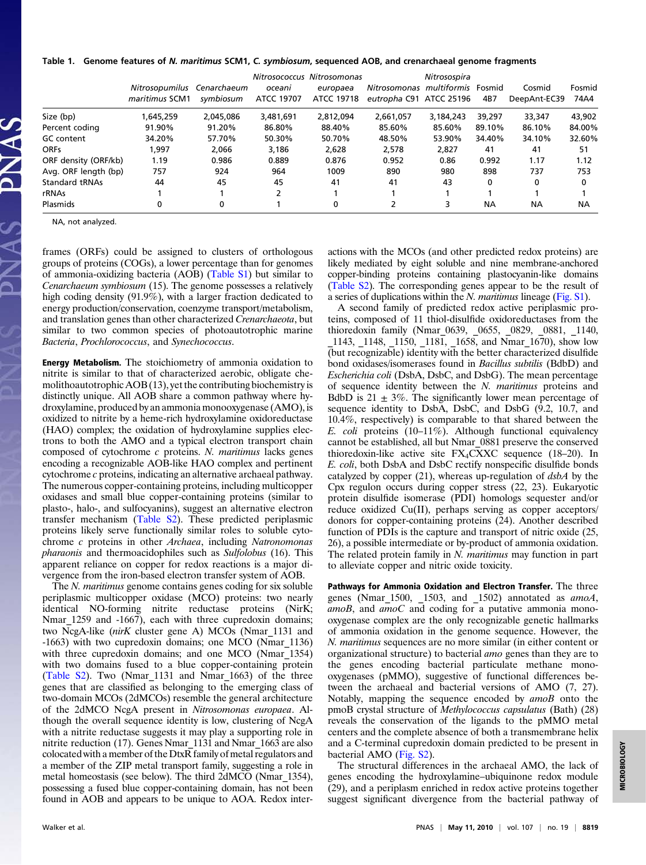## Table 1. Genome features of N. maritimus SCM1, C. symbiosum, sequenced AOB, and crenarchaeal genome fragments

|                      | Nitrosopumilus Cenarchaeum<br>maritimus SCM1 | symbiosum | oceani<br>ATCC 19707 | Nitrosococcus Nitrosomonas<br>europaea<br>ATCC 19718 | Nitrosomonas multiformis Fosmid<br>eutropha C91 ATCC 25196 | Nitrosospira | 4B7    | Cosmid<br>DeepAnt-EC39 | Fosmid<br>74A4 |
|----------------------|----------------------------------------------|-----------|----------------------|------------------------------------------------------|------------------------------------------------------------|--------------|--------|------------------------|----------------|
| Size (bp)            | 1,645,259                                    | 2.045.086 | 3,481,691            | 2.812.094                                            | 2,661,057                                                  | 3,184,243    | 39,297 | 33,347                 | 43,902         |
| Percent coding       | 91.90%                                       | 91.20%    | 86.80%               | 88.40%                                               | 85.60%                                                     | 85.60%       | 89.10% | 86.10%                 | 84.00%         |
| <b>GC</b> content    | 34.20%                                       | 57.70%    | 50.30%               | 50.70%                                               | 48.50%                                                     | 53.90%       | 34.40% | 34.10%                 | 32.60%         |
| <b>ORFs</b>          | 1.997                                        | 2.066     | 3.186                | 2.628                                                | 2.578                                                      | 2.827        | 41     | 41                     | 51             |
| ORF density (ORF/kb) | 1.19                                         | 0.986     | 0.889                | 0.876                                                | 0.952                                                      | 0.86         | 0.992  | 1.17                   | 1.12           |
| Avg. ORF length (bp) | 757                                          | 924       | 964                  | 1009                                                 | 890                                                        | 980          | 898    | 737                    | 753            |
| Standard tRNAs       | 44                                           | 45        | 45                   | 41                                                   | 41                                                         | 43           | 0      | 0                      | $\mathbf{0}$   |
| rRNAs                |                                              |           | ∍                    |                                                      |                                                            |              |        |                        |                |
| <b>Plasmids</b>      | 0                                            | 0         |                      | 0                                                    |                                                            | 3            | ΝA     | <b>NA</b>              | <b>NA</b>      |

NA, not analyzed.

frames (ORFs) could be assigned to clusters of orthologous groups of proteins (COGs), a lower percentage than for genomes of ammonia-oxidizing bacteria (AOB) ([Table S1\)](http://www.pnas.org/lookup/suppl/doi:10.1073/pnas.0913533107/-/DCSupplemental/st01.doc) but similar to Cenarchaeum symbiosum (15). The genome possesses a relatively high coding density (91.9%), with a larger fraction dedicated to energy production/conservation, coenzyme transport/metabolism, and translation genes than other characterized Crenarchaeota, but similar to two common species of photoautotrophic marine Bacteria, Prochlorococcus, and Synechococcus.

Energy Metabolism. The stoichiometry of ammonia oxidation to nitrite is similar to that of characterized aerobic, obligate chemolithoautotrophic AOB (13), yet the contributing biochemistry is distinctly unique. All AOB share a common pathway where hydroxylamine, produced by an ammonia monooxygenase (AMO), is oxidized to nitrite by a heme-rich hydroxylamine oxidoreductase (HAO) complex; the oxidation of hydroxylamine supplies electrons to both the AMO and a typical electron transport chain composed of cytochrome c proteins. N. maritimus lacks genes encoding a recognizable AOB-like HAO complex and pertinent cytochrome c proteins, indicating an alternative archaeal pathway. The numerous copper-containing proteins, including multicopper oxidases and small blue copper-containing proteins (similar to plasto-, halo-, and sulfocyanins), suggest an alternative electron transfer mechanism [\(Table S2](http://www.pnas.org/lookup/suppl/doi:10.1073/pnas.0913533107/-/DCSupplemental/st02.doc)). These predicted periplasmic proteins likely serve functionally similar roles to soluble cytochrome c proteins in other Archaea, including Natronomonas pharaonis and thermoacidophiles such as Sulfolobus (16). This apparent reliance on copper for redox reactions is a major divergence from the iron-based electron transfer system of AOB.

The *N. maritimus* genome contains genes coding for six soluble periplasmic multicopper oxidase (MCO) proteins: two nearly identical NO-forming nitrite reductase proteins (NirK; Nmar 1259 and -1667), each with three cupredoxin domains; two NcgA-like (nirK cluster gene A) MCOs (Nmar 1131 and -1663) with two cupredoxin domains; one MCO (Nmar\_1136) with three cupredoxin domains; and one MCO (Nmar 1354) with two domains fused to a blue copper-containing protein ([Table S2\)](http://www.pnas.org/lookup/suppl/doi:10.1073/pnas.0913533107/-/DCSupplemental/st02.doc). Two (Nmar\_1131 and Nmar\_1663) of the three genes that are classified as belonging to the emerging class of two-domain MCOs (2dMCOs) resemble the general architecture of the 2dMCO NcgA present in Nitrosomonas europaea. Although the overall sequence identity is low, clustering of NcgA with a nitrite reductase suggests it may play a supporting role in nitrite reduction (17). Genes Nmar\_1131 and Nmar\_1663 are also colocated with a member of the DtxR family of metal regulators and a member of the ZIP metal transport family, suggesting a role in metal homeostasis (see below). The third 2dMCO (Nmar\_1354), possessing a fused blue copper-containing domain, has not been found in AOB and appears to be unique to AOA. Redox interactions with the MCOs (and other predicted redox proteins) are likely mediated by eight soluble and nine membrane-anchored copper-binding proteins containing plastocyanin-like domains [\(Table S2](http://www.pnas.org/lookup/suppl/doi:10.1073/pnas.0913533107/-/DCSupplemental/st02.doc)). The corresponding genes appear to be the result of a series of duplications within the N. maritimus lineage (Fig.  $S1$ ).

A second family of predicted redox active periplasmic proteins, composed of 11 thiol-disulfide oxidoreductases from the thioredoxin family (Nmar\_0639, \_0655, \_0829, \_0881, \_1140, \_1143, \_1148, \_1150, \_1181, \_1658, and Nmar\_1670), show low (but recognizable) identity with the better characterized disulfide bond oxidases/isomerases found in Bacillus subtilis (BdbD) and Escherichia coli (DsbA, DsbC, and DsbG). The mean percentage of sequence identity between the N. maritimus proteins and BdbD is  $21 \pm 3\%$ . The significantly lower mean percentage of sequence identity to DsbA, DsbC, and DsbG (9.2, 10.7, and 10.4%, respectively) is comparable to that shared between the E. coli proteins (10–11%). Although functional equivalency cannot be established, all but Nmar\_0881 preserve the conserved thioredoxin-like active site  $FX_4CXXC$  sequence (18–20). In E. coli, both DsbA and DsbC rectify nonspecific disulfide bonds catalyzed by copper (21), whereas up-regulation of dsbA by the Cpx regulon occurs during copper stress (22, 23). Eukaryotic protein disulfide isomerase (PDI) homologs sequester and/or reduce oxidized Cu(II), perhaps serving as copper acceptors/ donors for copper-containing proteins (24). Another described function of PDIs is the capture and transport of nitric oxide (25, 26), a possible intermediate or by-product of ammonia oxidation. The related protein family in N. maritimus may function in part to alleviate copper and nitric oxide toxicity.

Pathways for Ammonia Oxidation and Electron Transfer. The three genes (Nmar\_1500, \_1503, and \_1502) annotated as  $amoA$ ,  $a$ moB, and  $a$ moC and coding for a putative ammonia monooxygenase complex are the only recognizable genetic hallmarks of ammonia oxidation in the genome sequence. However, the N. maritimus sequences are no more similar (in either content or organizational structure) to bacterial amo genes than they are to the genes encoding bacterial particulate methane monooxygenases (pMMO), suggestive of functional differences between the archaeal and bacterial versions of AMO (7, 27). Notably, mapping the sequence encoded by amoB onto the pmoB crystal structure of Methylococcus capsulatus (Bath) (28) reveals the conservation of the ligands to the pMMO metal centers and the complete absence of both a transmembrane helix and a C-terminal cupredoxin domain predicted to be present in bacterial AMO [\(Fig. S2](http://www.pnas.org/lookup/suppl/doi:10.1073/pnas.0913533107/-/DCSupplemental/pnas.200913533SI.pdf?targetid=nameddest=STXT)).

The structural differences in the archaeal AMO, the lack of genes encoding the hydroxylamine–ubiquinone redox module (29), and a periplasm enriched in redox active proteins together suggest significant divergence from the bacterial pathway of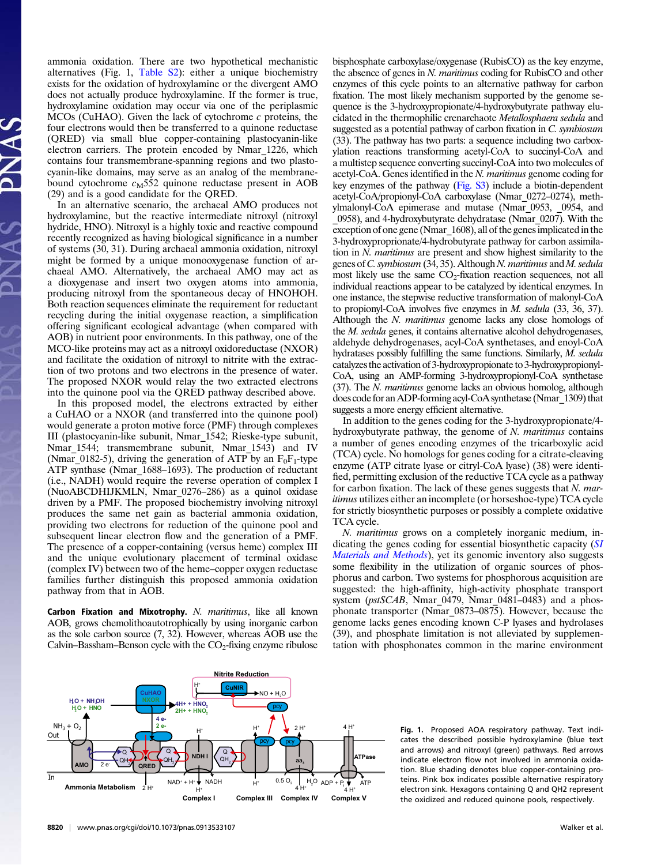ammonia oxidation. There are two hypothetical mechanistic alternatives (Fig. 1, [Table S2\)](http://www.pnas.org/lookup/suppl/doi:10.1073/pnas.0913533107/-/DCSupplemental/st02.doc): either a unique biochemistry exists for the oxidation of hydroxylamine or the divergent AMO does not actually produce hydroxylamine. If the former is true, hydroxylamine oxidation may occur via one of the periplasmic MCOs (CuHAO). Given the lack of cytochrome c proteins, the four electrons would then be transferred to a quinone reductase (QRED) via small blue copper-containing plastocyanin-like electron carriers. The protein encoded by Nmar\_1226, which contains four transmembrane-spanning regions and two plastocyanin-like domains, may serve as an analog of the membranebound cytochrome  $c_M$ 552 quinone reductase present in AOB (29) and is a good candidate for the QRED.

In an alternative scenario, the archaeal AMO produces not hydroxylamine, but the reactive intermediate nitroxyl (nitroxyl hydride, HNO). Nitroxyl is a highly toxic and reactive compound recently recognized as having biological significance in a number of systems (30, 31). During archaeal ammonia oxidation, nitroxyl might be formed by a unique monooxygenase function of archaeal AMO. Alternatively, the archaeal AMO may act as a dioxygenase and insert two oxygen atoms into ammonia, producing nitroxyl from the spontaneous decay of HNOHOH. Both reaction sequences eliminate the requirement for reductant recycling during the initial oxygenase reaction, a simplification offering significant ecological advantage (when compared with AOB) in nutrient poor environments. In this pathway, one of the MCO-like proteins may act as a nitroxyl oxidoreductase (NXOR) and facilitate the oxidation of nitroxyl to nitrite with the extraction of two protons and two electrons in the presence of water. The proposed NXOR would relay the two extracted electrons into the quinone pool via the QRED pathway described above.

In this proposed model, the electrons extracted by either a CuHAO or a NXOR (and transferred into the quinone pool) would generate a proton motive force (PMF) through complexes III (plastocyanin-like subunit, Nmar\_1542; Rieske-type subunit, Nmar<sub>1544</sub>; transmembrane subunit, Nmar<sub>1543</sub>) and IV (Nmar<sub>\_0182-5</sub>), driving the generation of ATP by an  $F_0F_1$ -type ATP synthase (Nmar 1688–1693). The production of reductant (i.e., NADH) would require the reverse operation of complex I (NuoABCDHIJKMLN, Nmar\_0276–286) as a quinol oxidase driven by a PMF. The proposed biochemistry involving nitroxyl produces the same net gain as bacterial ammonia oxidation, providing two electrons for reduction of the quinone pool and subsequent linear electron flow and the generation of a PMF. The presence of a copper-containing (versus heme) complex III and the unique evolutionary placement of terminal oxidase (complex IV) between two of the heme–copper oxygen reductase families further distinguish this proposed ammonia oxidation pathway from that in AOB.

Carbon Fixation and Mixotrophy. N. maritimus, like all known AOB, grows chemolithoautotrophically by using inorganic carbon as the sole carbon source (7, 32). However, whereas AOB use the Calvin–Bassham–Benson cycle with the  $CO<sub>2</sub>$ -fixing enzyme ribulose bisphosphate carboxylase/oxygenase (RubisCO) as the key enzyme, the absence of genes in N. maritimus coding for RubisCO and other enzymes of this cycle points to an alternative pathway for carbon fixation. The most likely mechanism supported by the genome sequence is the 3-hydroxypropionate/4-hydroxybutyrate pathway elucidated in the thermophilic crenarchaote Metallosphaera sedula and suggested as a potential pathway of carbon fixation in C. symbiosum (33). The pathway has two parts: a sequence including two carboxylation reactions transforming acetyl-CoA to succinyl-CoA and a multistep sequence converting succinyl-CoA into two molecules of acetyl-CoA. Genes identified in the N. maritimus genome coding for key enzymes of the pathway ([Fig. S3\)](http://www.pnas.org/lookup/suppl/doi:10.1073/pnas.0913533107/-/DCSupplemental/pnas.200913533SI.pdf?targetid=nameddest=STXT) include a biotin-dependent acetyl-CoA/propionyl-CoA carboxylase (Nmar\_0272–0274), methylmalonyl-CoA epimerase and mutase (Nmar\_0953, \_0954, and \_0958), and 4-hydroxybutyrate dehydratase (Nmar\_0207). With the exception of one gene (Nmar\_1608), all of the genes implicated in the 3-hydroxyproprionate/4-hydrobutyrate pathway for carbon assimilation in N. maritimus are present and show highest similarity to the genes ofC. symbiosum (34, 35). Although N. maritimus and M. sedula most likely use the same  $CO<sub>2</sub>$ -fixation reaction sequences, not all individual reactions appear to be catalyzed by identical enzymes. In one instance, the stepwise reductive transformation of malonyl-CoA to propionyl-CoA involves five enzymes in M. sedula (33, 36, 37). Although the N. *maritimus* genome lacks any close homologs of the M. sedula genes, it contains alternative alcohol dehydrogenases, aldehyde dehydrogenases, acyl-CoA synthetases, and enoyl-CoA hydratases possibly fulfilling the same functions. Similarly, M. sedula catalyzes the activation of 3-hydroxypropionate to 3-hydroxypropionyl-CoA, using an AMP-forming 3-hydroxypropionyl-CoA synthetase (37). The N. maritimus genome lacks an obvious homolog, although does code for an ADP-forming acyl-CoA synthetase (Nmar\_1309) that suggests a more energy efficient alternative.

In addition to the genes coding for the 3-hydroxypropionate/4 hydroxybutyrate pathway, the genome of  $N$ . *maritimus* contains a number of genes encoding enzymes of the tricarboxylic acid (TCA) cycle. No homologs for genes coding for a citrate-cleaving enzyme (ATP citrate lyase or citryl-CoA lyase) (38) were identified, permitting exclusion of the reductive TCA cycle as a pathway for carbon fixation. The lack of these genes suggests that N. maritimus utilizes either an incomplete (or horseshoe-type) TCA cycle for strictly biosynthetic purposes or possibly a complete oxidative TCA cycle.

N. maritimus grows on a completely inorganic medium, indicating the genes coding for essential biosynthetic capacity ([SI](http://www.pnas.org/lookup/suppl/doi:10.1073/pnas.0913533107/-/DCSupplemental/pnas.200913533SI.pdf?targetid=nameddest=STXT) [Materials and Methods](http://www.pnas.org/lookup/suppl/doi:10.1073/pnas.0913533107/-/DCSupplemental/pnas.200913533SI.pdf?targetid=nameddest=STXT)), yet its genomic inventory also suggests some flexibility in the utilization of organic sources of phosphorus and carbon. Two systems for phosphorous acquisition are suggested: the high-affinity, high-activity phosphate transport system ( $pstSCAB$ , Nmar 0479, Nmar 0481–0483) and a phosphonate transporter (Nmar\_0873–0875). However, because the genome lacks genes encoding known C-P lyases and hydrolases (39), and phosphate limitation is not alleviated by supplementation with phosphonates common in the marine environment



Fig. 1. Proposed AOA respiratory pathway. Text indicates the described possible hydroxylamine (blue text and arrows) and nitroxyl (green) pathways. Red arrows indicate electron flow not involved in ammonia oxidation. Blue shading denotes blue copper-containing proteins. Pink box indicates possible alternative respiratory electron sink. Hexagons containing Q and QH2 represent the oxidized and reduced quinone pools, respectively.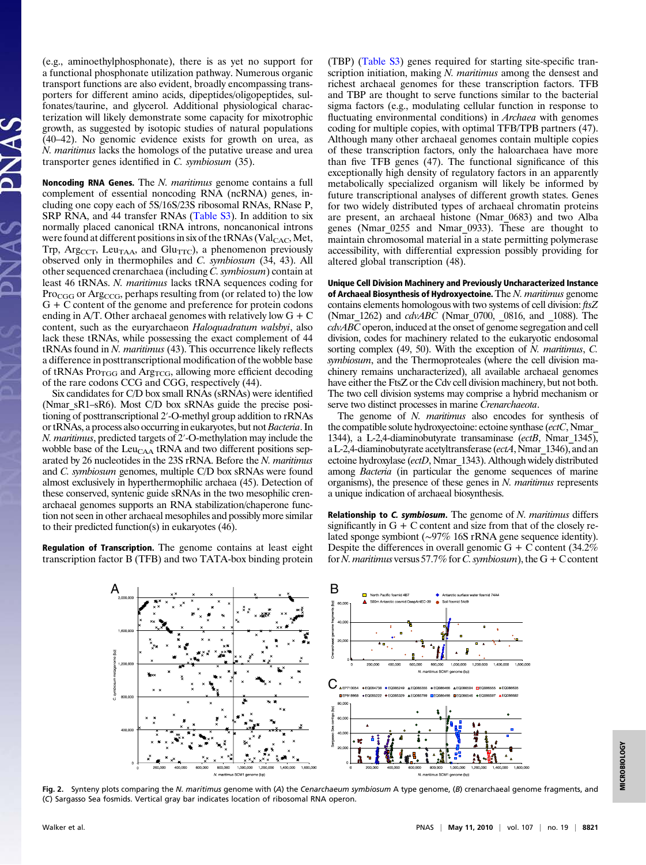(e.g., aminoethylphosphonate), there is as yet no support for a functional phosphonate utilization pathway. Numerous organic transport functions are also evident, broadly encompassing transporters for different amino acids, dipeptides/oligopeptides, sulfonates/taurine, and glycerol. Additional physiological characterization will likely demonstrate some capacity for mixotrophic growth, as suggested by isotopic studies of natural populations (40–42). No genomic evidence exists for growth on urea, as N. maritimus lacks the homologs of the putative urease and urea transporter genes identified in C. symbiosum (35).

Noncoding RNA Genes. The N. maritimus genome contains a full complement of essential noncoding RNA (ncRNA) genes, including one copy each of 5S/16S/23S ribosomal RNAs, RNase P, SRP RNA, and 44 transfer RNAs [\(Table S3](http://www.pnas.org/lookup/suppl/doi:10.1073/pnas.0913533107/-/DCSupplemental/st03.doc)). In addition to six normally placed canonical tRNA introns, noncanonical introns were found at different positions in six of the  $tRNAs$  (Val<sub>CAC</sub>, Met, Trp, Arg<sub>CCT</sub>, Leu<sub>TAA</sub>, and Glu<sub>TTC</sub>), a phenomenon previously observed only in thermophiles and C. symbiosum (34, 43). All other sequenced crenarchaea (including C. symbiosum) contain at least 46 tRNAs. N. maritimus lacks tRNA sequences coding for Pro<sub>CGG</sub> or Arg<sub>CCG</sub>, perhaps resulting from (or related to) the low G + C content of the genome and preference for protein codons ending in A/T. Other archaeal genomes with relatively low  $G + C$ content, such as the euryarchaeon *Haloquadratum walsbyi*, also lack these tRNAs, while possessing the exact complement of 44 tRNAs found in N. maritimus (43). This occurrence likely reflects a difference in posttranscriptional modification of the wobble base of tRNAs Pro $_{TGG}$  and Arg<sub>TCG</sub>, allowing more efficient decoding of the rare codons CCG and CGG, respectively (44).

Six candidates for C/D box small RNAs (sRNAs) were identified (Nmar\_sR1–sR6). Most C/D box sRNAs guide the precise positioning of posttranscriptional 2′-O-methyl group addition to rRNAs or tRNAs, a process also occurring in eukaryotes, but not Bacteria. In N. maritimus, predicted targets of 2′-O-methylation may include the wobble base of the  $Leu<sub>CAA</sub>$  tRNA and two different positions separated by 26 nucleotides in the 23S rRNA. Before the N. maritimus and C. symbiosum genomes, multiple C/D box sRNAs were found almost exclusively in hyperthermophilic archaea (45). Detection of these conserved, syntenic guide sRNAs in the two mesophilic crenarchaeal genomes supports an RNA stabilization/chaperone function not seen in other archaeal mesophiles and possibly more similar to their predicted function(s) in eukaryotes (46).

Regulation of Transcription. The genome contains at least eight transcription factor B (TFB) and two TATA-box binding protein

(TBP) ([Table S3](http://www.pnas.org/lookup/suppl/doi:10.1073/pnas.0913533107/-/DCSupplemental/st03.doc)) genes required for starting site-specific transcription initiation, making N. maritimus among the densest and richest archaeal genomes for these transcription factors. TFB and TBP are thought to serve functions similar to the bacterial sigma factors (e.g., modulating cellular function in response to fluctuating environmental conditions) in *Archaea* with genomes coding for multiple copies, with optimal TFB/TPB partners (47). Although many other archaeal genomes contain multiple copies of these transcription factors, only the haloarchaea have more than five TFB genes (47). The functional significance of this exceptionally high density of regulatory factors in an apparently metabolically specialized organism will likely be informed by future transcriptional analyses of different growth states. Genes for two widely distributed types of archaeal chromatin proteins are present, an archaeal histone (Nmar\_0683) and two Alba genes (Nmar\_0255 and Nmar\_0933). These are thought to maintain chromosomal material in a state permitting polymerase accessibility, with differential expression possibly providing for altered global transcription (48).

Unique Cell Division Machinery and Previously Uncharacterized Instance of Archaeal Biosynthesis of Hydroxyectoine. The  $N$ . maritimus genome contains elements homologous with two systems of cell division: ftsZ (Nmar\_1262) and cdvABC (Nmar\_0700, \_0816, and \_1088). The  $cdvABC$  operon, induced at the onset of genome segregation and cell division, codes for machinery related to the eukaryotic endosomal sorting complex (49, 50). With the exception of N. maritimus, C. symbiosum, and the Thermoproteales (where the cell division machinery remains uncharacterized), all available archaeal genomes have either the FtsZ or the Cdv cell division machinery, but not both. The two cell division systems may comprise a hybrid mechanism or serve two distinct processes in marine Crenarchaeota.

The genome of N. maritimus also encodes for synthesis of the compatible solute hydroxyectoine: ectoine synthase (ectC, Nmar\_ 1344), a L-2,4-diaminobutyrate transaminase (ectB, Nmar 1345), a L-2,4-diaminobutyrate acetyltransferase (ectA, Nmar\_1346), and an ectoine hydroxylase (ectD, Nmar\_1343). Although widely distributed among Bacteria (in particular the genome sequences of marine organisms), the presence of these genes in N. maritimus represents a unique indication of archaeal biosynthesis.

Relationship to  $C$ . symbiosum. The genome of  $N$ . maritimus differs significantly in  $G + C$  content and size from that of the closely related sponge symbiont (∼97% 16S rRNA gene sequence identity). Despite the differences in overall genomic  $G + C$  content (34.2%) for N. maritimus versus 57.7% for C. symbiosum), the G + C content



Fig. 2. Synteny plots comparing the N. maritimus genome with (A) the Cenarchaeum symbiosum A type genome, (B) crenarchaeal genome fragments, and (C) Sargasso Sea fosmids. Vertical gray bar indicates location of ribosomal RNA operon.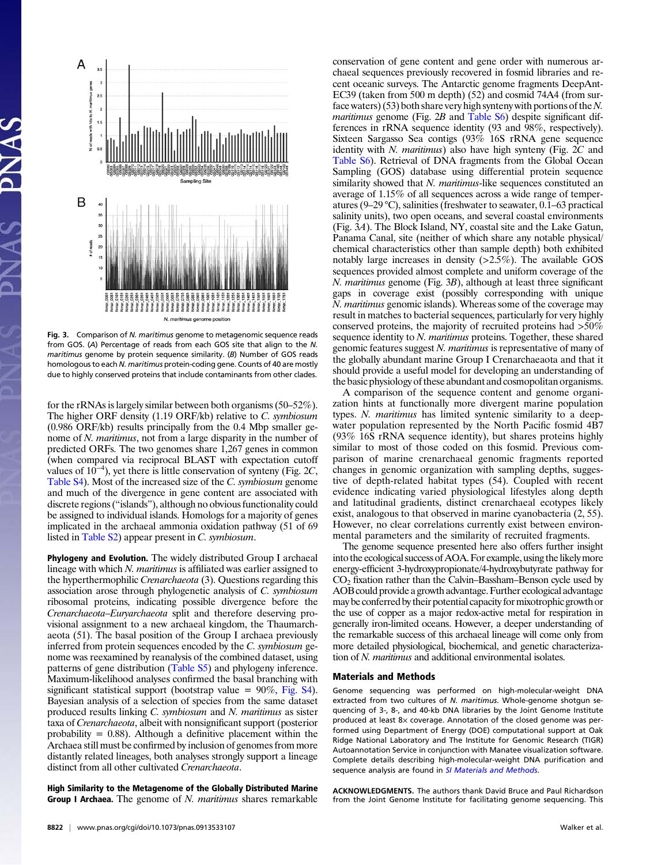

Fig. 3. Comparison of N. maritimus genome to metagenomic sequence reads from GOS. (A) Percentage of reads from each GOS site that align to the N. maritimus genome by protein sequence similarity. (B) Number of GOS reads homologous to each N. maritimus protein-coding gene. Counts of 40 are mostly due to highly conserved proteins that include contaminants from other clades.

for the rRNAs is largely similar between both organisms (50–52%). The higher ORF density (1.19 ORF/kb) relative to C. symbiosum (0.986 ORF/kb) results principally from the 0.4 Mbp smaller genome of N. maritimus, not from a large disparity in the number of predicted ORFs. The two genomes share 1,267 genes in common (when compared via reciprocal BLAST with expectation cutoff values of  $10^{-4}$ ), yet there is little conservation of synteny (Fig. 2C, [Table S4\)](http://www.pnas.org/lookup/suppl/doi:10.1073/pnas.0913533107/-/DCSupplemental/st04.doc). Most of the increased size of the C. symbiosum genome and much of the divergence in gene content are associated with discrete regions ("islands"), although no obvious functionality could be assigned to individual islands. Homologs for a majority of genes implicated in the archaeal ammonia oxidation pathway (51 of 69 listed in [Table S2\)](http://www.pnas.org/lookup/suppl/doi:10.1073/pnas.0913533107/-/DCSupplemental/st02.doc) appear present in C. symbiosum.

Phylogeny and Evolution. The widely distributed Group I archaeal lineage with which N. maritimus is affiliated was earlier assigned to the hyperthermophilic Crenarchaeota (3). Questions regarding this association arose through phylogenetic analysis of C. symbiosum ribosomal proteins, indicating possible divergence before the Crenarchaeota–Euryarchaeota split and therefore deserving provisional assignment to a new archaeal kingdom, the Thaumarchaeota (51). The basal position of the Group I archaea previously inferred from protein sequences encoded by the C. symbiosum genome was reexamined by reanalysis of the combined dataset, using patterns of gene distribution [\(Table S5](http://www.pnas.org/lookup/suppl/doi:10.1073/pnas.0913533107/-/DCSupplemental/st05.doc)) and phylogeny inference. Maximum-likelihood analyses confirmed the basal branching with significant statistical support (bootstrap value  $= 90\%$ , [Fig. S4](http://www.pnas.org/lookup/suppl/doi:10.1073/pnas.0913533107/-/DCSupplemental/pnas.200913533SI.pdf?targetid=nameddest=STXT)). Bayesian analysis of a selection of species from the same dataset produced results linking C. symbiosum and N. maritimus as sister taxa of Crenarchaeota, albeit with nonsignificant support (posterior probability  $= 0.88$ ). Although a definitive placement within the Archaea still must be confirmed by inclusion of genomes from more distantly related lineages, both analyses strongly support a lineage distinct from all other cultivated Crenarchaeota.

High Similarity to the Metagenome of the Globally Distributed Marine **Group I Archaea.** The genome of *N. maritimus* shares remarkable

conservation of gene content and gene order with numerous archaeal sequences previously recovered in fosmid libraries and recent oceanic surveys. The Antarctic genome fragments DeepAnt-EC39 (taken from 500 m depth) (52) and cosmid 74A4 (from surface waters) (53) both share very high synteny with portions of the  $N$ . maritimus genome (Fig. 2B and [Table S6](http://www.pnas.org/lookup/suppl/doi:10.1073/pnas.0913533107/-/DCSupplemental/st06.doc)) despite significant differences in rRNA sequence identity (93 and 98%, respectively). Sixteen Sargasso Sea contigs (93% 16S rRNA gene sequence identity with  $N$ . maritimus) also have high synteny (Fig.  $2C$  and [Table S6](http://www.pnas.org/lookup/suppl/doi:10.1073/pnas.0913533107/-/DCSupplemental/st06.doc)). Retrieval of DNA fragments from the Global Ocean Sampling (GOS) database using differential protein sequence similarity showed that N. maritimus-like sequences constituted an average of 1.15% of all sequences across a wide range of temperatures (9–29 °C), salinities (freshwater to seawater, 0.1–63 practical salinity units), two open oceans, and several coastal environments (Fig. 3A). The Block Island, NY, coastal site and the Lake Gatun, Panama Canal, site (neither of which share any notable physical/ chemical characteristics other than sample depth) both exhibited notably large increases in density  $(>2.5\%)$ . The available GOS sequences provided almost complete and uniform coverage of the N. maritimus genome (Fig. 3B), although at least three significant gaps in coverage exist (possibly corresponding with unique N. maritimus genomic islands). Whereas some of the coverage may result in matches to bacterial sequences, particularly for very highly conserved proteins, the majority of recruited proteins had >50% sequence identity to N. maritimus proteins. Together, these shared genomic features suggest N. maritimus is representative of many of the globally abundant marine Group I Crenarchaeaota and that it should provide a useful model for developing an understanding of the basic physiology of these abundant and cosmopolitan organisms.

A comparison of the sequence content and genome organization hints at functionally more divergent marine population types. N. maritimus has limited syntenic similarity to a deepwater population represented by the North Pacific fosmid 4B7 (93% 16S rRNA sequence identity), but shares proteins highly similar to most of those coded on this fosmid. Previous comparison of marine crenarchaeal genomic fragments reported changes in genomic organization with sampling depths, suggestive of depth-related habitat types (54). Coupled with recent evidence indicating varied physiological lifestyles along depth and latitudinal gradients, distinct crenarchaeal ecotypes likely exist, analogous to that observed in marine cyanobacteria (2, 55). However, no clear correlations currently exist between environmental parameters and the similarity of recruited fragments.

The genome sequence presented here also offers further insight into the ecological success of AOA. For example, using the likely more energy-efficient 3-hydroxypropionate/4-hydroxybutyrate pathway for CO2 fixation rather than the Calvin–Bassham–Benson cycle used by AOB could provide a growth advantage. Further ecological advantage may be conferred by their potential capacity for mixotrophic growth or the use of copper as a major redox-active metal for respiration in generally iron-limited oceans. However, a deeper understanding of the remarkable success of this archaeal lineage will come only from more detailed physiological, biochemical, and genetic characterization of N. maritimus and additional environmental isolates.

## Materials and Methods

Genome sequencing was performed on high-molecular-weight DNA extracted from two cultures of N. maritimus. Whole-genome shotgun sequencing of 3-, 8-, and 40-kb DNA libraries by the Joint Genome Institute produced at least 8× coverage. Annotation of the closed genome was performed using Department of Energy (DOE) computational support at Oak Ridge National Laboratory and The Institute for Genomic Research (TIGR) Autoannotation Service in conjunction with Manatee visualization software. Complete details describing high-molecular-weight DNA purification and sequence analysis are found in [SI Materials and Methods](http://www.pnas.org/lookup/suppl/doi:10.1073/pnas.0913533107/-/DCSupplemental/pnas.200913533SI.pdf?targetid=nameddest=STXT).

ACKNOWLEDGMENTS. The authors thank David Bruce and Paul Richardson from the Joint Genome Institute for facilitating genome sequencing. This